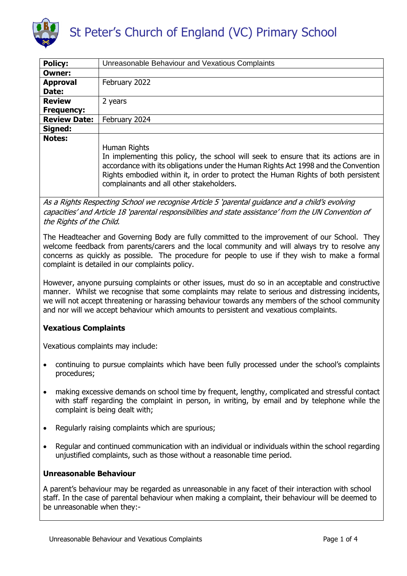

| Unreasonable Behaviour and Vexatious Complaints                                                                                                                                                                                                                                                                             |
|-----------------------------------------------------------------------------------------------------------------------------------------------------------------------------------------------------------------------------------------------------------------------------------------------------------------------------|
|                                                                                                                                                                                                                                                                                                                             |
| February 2022                                                                                                                                                                                                                                                                                                               |
|                                                                                                                                                                                                                                                                                                                             |
| 2 years                                                                                                                                                                                                                                                                                                                     |
|                                                                                                                                                                                                                                                                                                                             |
| February 2024                                                                                                                                                                                                                                                                                                               |
|                                                                                                                                                                                                                                                                                                                             |
| Human Rights<br>In implementing this policy, the school will seek to ensure that its actions are in<br>accordance with its obligations under the Human Rights Act 1998 and the Convention<br>Rights embodied within it, in order to protect the Human Rights of both persistent<br>complainants and all other stakeholders. |
|                                                                                                                                                                                                                                                                                                                             |

As a Rights Respecting School we recognise Article 5 'parental guidance and a child's evolving capacities' and Article 18 'parental responsibilities and state assistance' from the UN Convention of the Rights of the Child.

The Headteacher and Governing Body are fully committed to the improvement of our School. They welcome feedback from parents/carers and the local community and will always try to resolve any concerns as quickly as possible. The procedure for people to use if they wish to make a formal complaint is detailed in our complaints policy.

However, anyone pursuing complaints or other issues, must do so in an acceptable and constructive manner. Whilst we recognise that some complaints may relate to serious and distressing incidents, we will not accept threatening or harassing behaviour towards any members of the school community and nor will we accept behaviour which amounts to persistent and vexatious complaints.

# **Vexatious Complaints**

Vexatious complaints may include:

- continuing to pursue complaints which have been fully processed under the school's complaints procedures;
- making excessive demands on school time by frequent, lengthy, complicated and stressful contact with staff regarding the complaint in person, in writing, by email and by telephone while the complaint is being dealt with;
- Regularly raising complaints which are spurious;
- Regular and continued communication with an individual or individuals within the school regarding unjustified complaints, such as those without a reasonable time period.

### **Unreasonable Behaviour**

A parent's behaviour may be regarded as unreasonable in any facet of their interaction with school staff. In the case of parental behaviour when making a complaint, their behaviour will be deemed to be unreasonable when they:-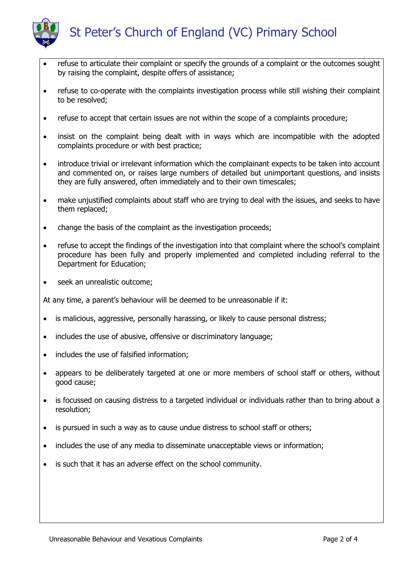

- refuse to articulate their complaint or specify the grounds of a complaint or the outcomes sought by raising the complaint, despite offers of assistance;
- refuse to co-operate with the complaints investigation process while still wishing their complaint to be resolved;
- refuse to accept that certain issues are not within the scope of a complaints procedure;
- insist on the complaint being dealt with in ways which are incompatible with the adopted complaints procedure or with best practice;
- introduce trivial or irrelevant information which the complainant expects to be taken into account and commented on, or raises large numbers of detailed but unimportant questions, and insists they are fully answered, often immediately and to their own timescales;
- make unjustified complaints about staff who are trying to deal with the issues, and seeks to have them replaced;
- change the basis of the complaint as the investigation proceeds;
- refuse to accept the findings of the investigation into that complaint where the school's complaint procedure has been fully and properly implemented and completed including referral to the Department for Education;
- seek an unrealistic outcome;

At any time, a parent's behaviour will be deemed to be unreasonable if it:

- is malicious, aggressive, personally harassing, or likely to cause personal distress;
- includes the use of abusive, offensive or discriminatory language;
- includes the use of falsified information;
- appears to be deliberately targeted at one or more members of school staff or others, without good cause;
- is focussed on causing distress to a targeted individual or individuals rather than to bring about a resolution;
- is pursued in such a way as to cause undue distress to school staff or others;
- includes the use of any media to disseminate unacceptable views or information;
- is such that it has an adverse effect on the school community.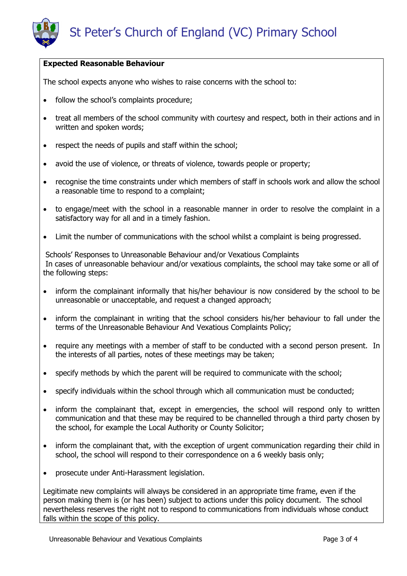## **Expected Reasonable Behaviour**

The school expects anyone who wishes to raise concerns with the school to:

- follow the school's complaints procedure;
- treat all members of the school community with courtesy and respect, both in their actions and in written and spoken words;
- respect the needs of pupils and staff within the school;
- avoid the use of violence, or threats of violence, towards people or property;
- recognise the time constraints under which members of staff in schools work and allow the school a reasonable time to respond to a complaint;
- to engage/meet with the school in a reasonable manner in order to resolve the complaint in a satisfactory way for all and in a timely fashion.
- Limit the number of communications with the school whilst a complaint is being progressed.

Schools' Responses to Unreasonable Behaviour and/or Vexatious Complaints In cases of unreasonable behaviour and/or vexatious complaints, the school may take some or all of the following steps:

- inform the complainant informally that his/her behaviour is now considered by the school to be unreasonable or unacceptable, and request a changed approach;
- inform the complainant in writing that the school considers his/her behaviour to fall under the terms of the Unreasonable Behaviour And Vexatious Complaints Policy;
- require any meetings with a member of staff to be conducted with a second person present. In the interests of all parties, notes of these meetings may be taken;
- specify methods by which the parent will be required to communicate with the school;
- specify individuals within the school through which all communication must be conducted;
- inform the complainant that, except in emergencies, the school will respond only to written communication and that these may be required to be channelled through a third party chosen by the school, for example the Local Authority or County Solicitor;
- inform the complainant that, with the exception of urgent communication regarding their child in school, the school will respond to their correspondence on a 6 weekly basis only;
- prosecute under Anti-Harassment legislation.

Legitimate new complaints will always be considered in an appropriate time frame, even if the person making them is (or has been) subject to actions under this policy document. The school nevertheless reserves the right not to respond to communications from individuals whose conduct falls within the scope of this policy.